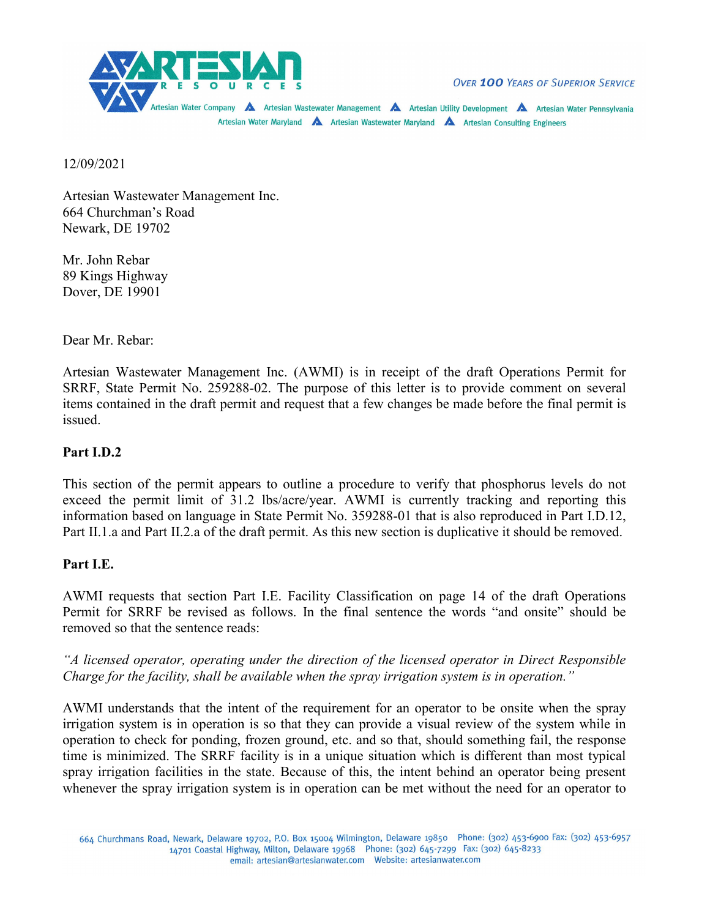

**OVER 100 YEARS OF SUPERIOR SERVICE** 

Artesian Water Company A Artesian Wastewater Management A Artesian Utility Development A Artesian Water Pennsylvania Artesian Water Maryland <a>A<br/>
Artesian Wastewater Maryland <a>A</a>
Artesian Consulting Engineers

12/09/2021

Artesian Wastewater Management Inc. 664 Churchman's Road Newark, DE 19702

Mr. John Rebar 89 Kings Highway Dover, DE 19901

Dear Mr. Rebar:

Artesian Wastewater Management Inc. (AWMI) is in receipt of the draft Operations Permit for SRRF, State Permit No. 259288-02. The purpose of this letter is to provide comment on several items contained in the draft permit and request that a few changes be made before the final permit is issued.

## **Part I.D.2**

This section of the permit appears to outline a procedure to verify that phosphorus levels do not exceed the permit limit of 31.2 lbs/acre/year. AWMI is currently tracking and reporting this information based on language in State Permit No. 359288-01 that is also reproduced in Part I.D.12, Part II.1.a and Part II.2.a of the draft permit. As this new section is duplicative it should be removed.

## **Part I.E.**

AWMI requests that section Part I.E. Facility Classification on page 14 of the draft Operations Permit for SRRF be revised as follows. In the final sentence the words "and onsite" should be removed so that the sentence reads:

*"A licensed operator, operating under the direction of the licensed operator in Direct Responsible Charge for the facility, shall be available when the spray irrigation system is in operation."*

AWMI understands that the intent of the requirement for an operator to be onsite when the spray irrigation system is in operation is so that they can provide a visual review of the system while in operation to check for ponding, frozen ground, etc. and so that, should something fail, the response time is minimized. The SRRF facility is in a unique situation which is different than most typical spray irrigation facilities in the state. Because of this, the intent behind an operator being present whenever the spray irrigation system is in operation can be met without the need for an operator to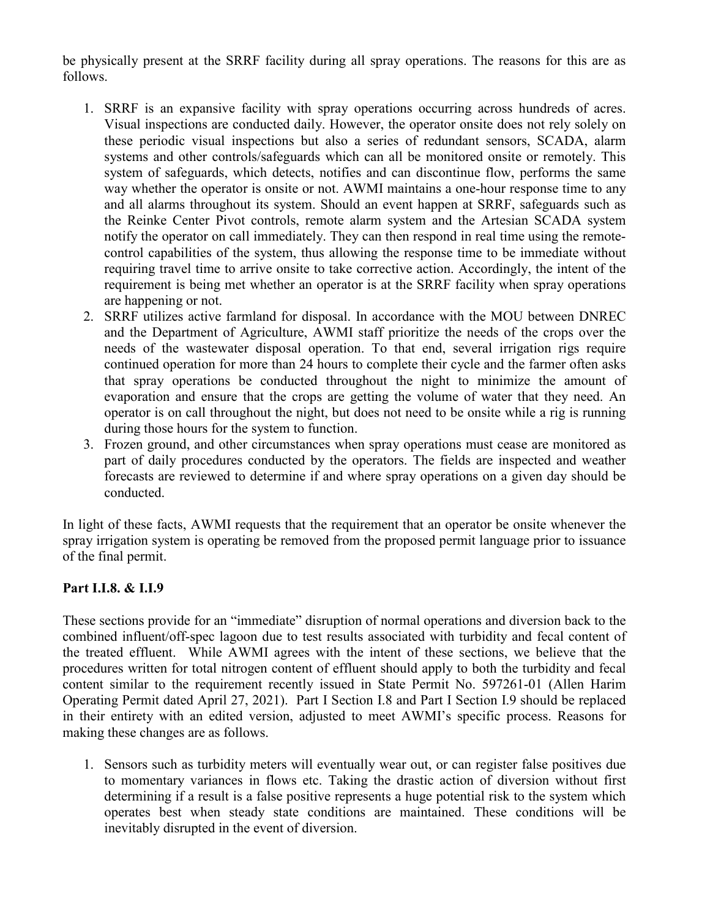be physically present at the SRRF facility during all spray operations. The reasons for this are as follows.

- 1. SRRF is an expansive facility with spray operations occurring across hundreds of acres. Visual inspections are conducted daily. However, the operator onsite does not rely solely on these periodic visual inspections but also a series of redundant sensors, SCADA, alarm systems and other controls/safeguards which can all be monitored onsite or remotely. This system of safeguards, which detects, notifies and can discontinue flow, performs the same way whether the operator is onsite or not. AWMI maintains a one-hour response time to any and all alarms throughout its system. Should an event happen at SRRF, safeguards such as the Reinke Center Pivot controls, remote alarm system and the Artesian SCADA system notify the operator on call immediately. They can then respond in real time using the remotecontrol capabilities of the system, thus allowing the response time to be immediate without requiring travel time to arrive onsite to take corrective action. Accordingly, the intent of the requirement is being met whether an operator is at the SRRF facility when spray operations are happening or not.
- 2. SRRF utilizes active farmland for disposal. In accordance with the MOU between DNREC and the Department of Agriculture, AWMI staff prioritize the needs of the crops over the needs of the wastewater disposal operation. To that end, several irrigation rigs require continued operation for more than 24 hours to complete their cycle and the farmer often asks that spray operations be conducted throughout the night to minimize the amount of evaporation and ensure that the crops are getting the volume of water that they need. An operator is on call throughout the night, but does not need to be onsite while a rig is running during those hours for the system to function.
- 3. Frozen ground, and other circumstances when spray operations must cease are monitored as part of daily procedures conducted by the operators. The fields are inspected and weather forecasts are reviewed to determine if and where spray operations on a given day should be conducted.

In light of these facts, AWMI requests that the requirement that an operator be onsite whenever the spray irrigation system is operating be removed from the proposed permit language prior to issuance of the final permit.

## **Part I.I.8. & I.I.9**

These sections provide for an "immediate" disruption of normal operations and diversion back to the combined influent/off-spec lagoon due to test results associated with turbidity and fecal content of the treated effluent. While AWMI agrees with the intent of these sections, we believe that the procedures written for total nitrogen content of effluent should apply to both the turbidity and fecal content similar to the requirement recently issued in State Permit No. 597261-01 (Allen Harim Operating Permit dated April 27, 2021). Part I Section I.8 and Part I Section I.9 should be replaced in their entirety with an edited version, adjusted to meet AWMI's specific process. Reasons for making these changes are as follows.

1. Sensors such as turbidity meters will eventually wear out, or can register false positives due to momentary variances in flows etc. Taking the drastic action of diversion without first determining if a result is a false positive represents a huge potential risk to the system which operates best when steady state conditions are maintained. These conditions will be inevitably disrupted in the event of diversion.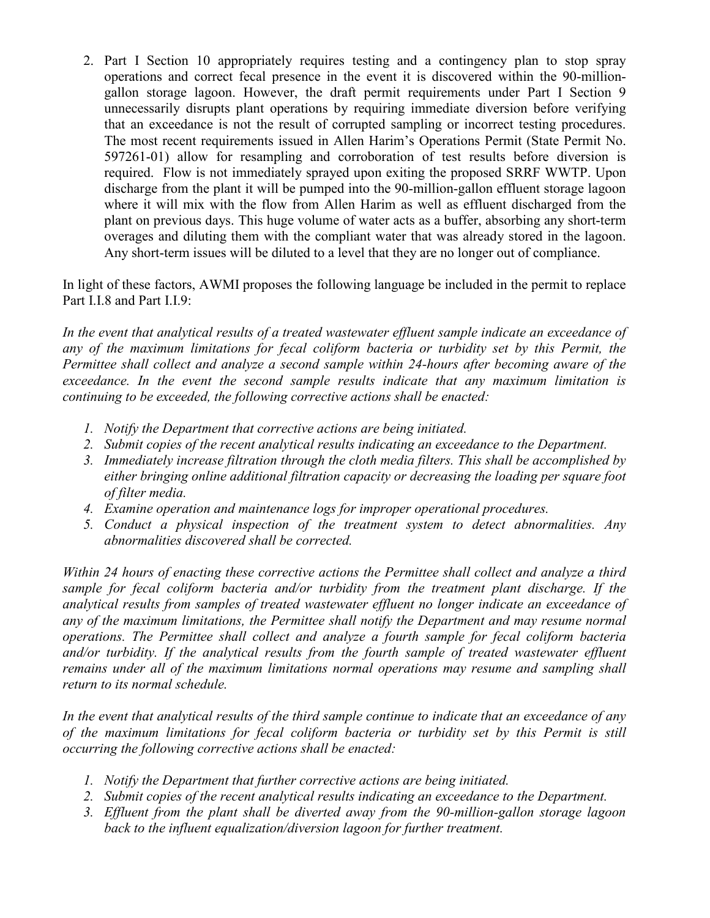2. Part I Section 10 appropriately requires testing and a contingency plan to stop spray operations and correct fecal presence in the event it is discovered within the 90-milliongallon storage lagoon. However, the draft permit requirements under Part I Section 9 unnecessarily disrupts plant operations by requiring immediate diversion before verifying that an exceedance is not the result of corrupted sampling or incorrect testing procedures. The most recent requirements issued in Allen Harim's Operations Permit (State Permit No. 597261-01) allow for resampling and corroboration of test results before diversion is required. Flow is not immediately sprayed upon exiting the proposed SRRF WWTP. Upon discharge from the plant it will be pumped into the 90-million-gallon effluent storage lagoon where it will mix with the flow from Allen Harim as well as effluent discharged from the plant on previous days. This huge volume of water acts as a buffer, absorbing any short-term overages and diluting them with the compliant water that was already stored in the lagoon. Any short-term issues will be diluted to a level that they are no longer out of compliance.

In light of these factors, AWMI proposes the following language be included in the permit to replace Part I.I.8 and Part I.I.9:

*In the event that analytical results of a treated wastewater effluent sample indicate an exceedance of any of the maximum limitations for fecal coliform bacteria or turbidity set by this Permit, the Permittee shall collect and analyze a second sample within 24-hours after becoming aware of the exceedance. In the event the second sample results indicate that any maximum limitation is continuing to be exceeded, the following corrective actions shall be enacted:*

- *1. Notify the Department that corrective actions are being initiated.*
- *2. Submit copies of the recent analytical results indicating an exceedance to the Department.*
- *3. Immediately increase filtration through the cloth media filters. This shall be accomplished by either bringing online additional filtration capacity or decreasing the loading per square foot of filter media.*
- *4. Examine operation and maintenance logs for improper operational procedures.*
- *5. Conduct a physical inspection of the treatment system to detect abnormalities. Any abnormalities discovered shall be corrected.*

*Within 24 hours of enacting these corrective actions the Permittee shall collect and analyze a third sample for fecal coliform bacteria and/or turbidity from the treatment plant discharge. If the analytical results from samples of treated wastewater effluent no longer indicate an exceedance of any of the maximum limitations, the Permittee shall notify the Department and may resume normal operations. The Permittee shall collect and analyze a fourth sample for fecal coliform bacteria and/or turbidity. If the analytical results from the fourth sample of treated wastewater effluent remains under all of the maximum limitations normal operations may resume and sampling shall return to its normal schedule.* 

*In the event that analytical results of the third sample continue to indicate that an exceedance of any of the maximum limitations for fecal coliform bacteria or turbidity set by this Permit is still occurring the following corrective actions shall be enacted:*

- *1. Notify the Department that further corrective actions are being initiated.*
- *2. Submit copies of the recent analytical results indicating an exceedance to the Department.*
- *3. Effluent from the plant shall be diverted away from the 90-million-gallon storage lagoon*  back to the influent equalization/diversion lagoon for further treatment.